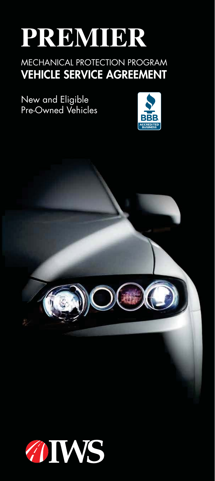

## MECHANICAL PROTECTION PROGRAM VEHICLE SERVICE AGREEMENT

New and Eligible Pre-Owned Vehicles





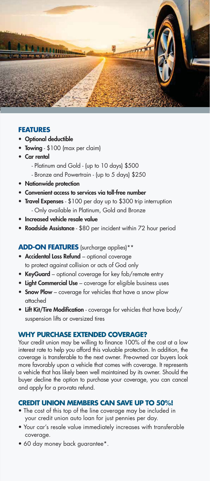

### **FEATURES**

- Optional deductible
- Towing \$100 (max per claim)
- Car rental
	- Platinum and Gold (up to 10 days) \$500
	- Bronze and Powertrain (up to 5 days) \$250
- Nationwide protection
- Convenient access to services via toll-free number
- Travel Expenses \$100 per day up to \$300 trip interruption - Only available in Platinum, Gold and Bronze
- Increased vehicle resale value
- Roadside Assistance \$80 per incident within 72 hour period

#### **ADD-ON FEATURES** (surcharge applies)\*\*

- Accidental Loss Refund optional coverage to protect against collision or acts of God only
- KeyGuard optional coverage for key fob/remote entry
- Light Commercial Use coverage for eligible business uses
- Snow Plow coverage for vehicles that have a snow plow attached
- Lift Kit/Tire Modification coverage for vehicles that have body/ suspension lifts or oversized tires

## **WHY PURCHASE EXTENDED COVERAGE?**

Your credit union may be willing to finance 100% of the cost at a low interest rate to help you afford this valuable protection. In addition, the coverage is transferable to the next owner. Pre-owned car buyers look more favorably upon a vehicle that comes with coverage. It represents a vehicle that has likely been well maintained by its owner. Should the buyer decline the option to purchase your coverage, you can cancel and apply for a pro-rata refund.

#### **CREDIT UNION MEMBERS CAN SAVE UP TO 50%!**

- The cost of this top of the line coverage may be included in your credit union auto loan for just pennies per day.
- Your car's resale value immediately increases with transferable coverage.
- 60 day money back guarantee\*.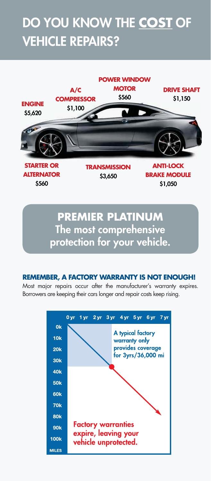# DO YOU KNOW THE **COST** OF VEHICLE REPAIRS?



**ALTERNATOR** \$560

**TRANSMISSION** \$3,650

**BRAKE MODULE** \$1,050

## **PREMIER PLATINUM** The most comprehensive protection for your vehicle.

## **REMEMBER, A FACTORY WARRANTY IS NOT ENOUGH!**

Most major repairs occur after the manufacturer's warranty expires. Borrowers are keeping their cars longer and repair costs keep rising.

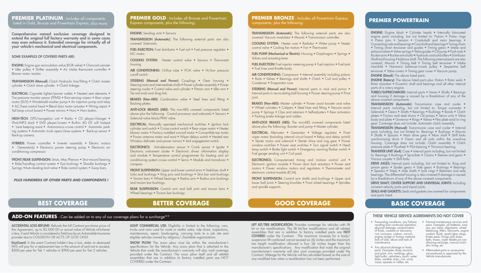ENGINE: Sending units • Sensors

TRANSMISSION (Automatic): The following external parts are also covered: Solenoids.

FUEL INJECTION: Fuel distributor • Fuel rail • Fuel pressure regulator • IAC motor.

COOLING SYSTEM: Heater control valve • Sensors • Thermostat housing

STEERING (Manual and Power): Couplings • Gear housing • Steering main and intermediate shafts • Power cylinder assembly • Power steering cooler • Control valve and cylinder • Pitman arm • Idler arm • Tie rod ends and drag link.

AIR CONDITIONING: Orifice tube • POA valve • Hi/low pressure cut-off switch.

BRAKES (Non-ABS): Combination valve • Steel lines and fitting • Backing plates.

ELECTRICAL: Manually operated mechanical switches • Ignition lock cylinder and switch • Cruise control switch • Rear wiper motor • Heater blower motor • Factory installed sunroof motor • Convertible top motor • Power antenna motor and mast • Wiper delays switch • Heated rear Window defroster and power mirrors • 4x4 engagement switch.

**ELECTRONICS:** Anti-detonation sensor • Crank sensor • Igniter • Electronic instrument cluster • Electronic driver information display and module • Temperature control programmer for heating and air conditioning system cruise control • Servo • Module and transducer • compass.

ANTI-LOCK BRAKES (ABS): The non-ABS covered components listed above plus the following: Control processor and solenoids • Sensors • Solenoid valve block/PMV valve.

FRONT SUSPENSION: Upper and lower control arms • Stabilizer shaft • Links and bushings • King pins and bushings • Strut bar and bushings • Torsion bars • Wheel bearings • Radius arm • Radius arm bushings and torsion bar bushings.

REAR SUSPENSION: Control arm and ball joint and torsion bars • Wheel bearings • Torsion bar bushings.

## **PREMIER GOLD** - Includes all Bronze and Powertrain Express components, plus the following:

FUEL PUMP (Mechanical or Electric): Housing . Diaphragms . Springs . Valves and actuating lever.

FUEL INJECTION: Fuel injector metering pump • Fuel injectors • Fuel tank • Fuel lines and throttle body.

AIR CONDITIONING: Compressor • Internal assembly including pistons • Rods • Valves • Bearings and shafts • Clutch • Coil and pulley • Condenser • Evaporator core.

STEERING (Manual and Power): Internal parts in rack and pinion • Internal parts in recirculating ball housing • Power steering pump • Pivot joint.

## **BETTER COVERAGE**

FRONT SUSPENSION: Control arm shafts and bushings . Upper and lower ball joints • Steering knuckles • Front wheel bearings • Spindles and spindle supports.

## **PREMIER BRONZE** - Includes all Powertrain Express components, plus the following:

TRANSMISSION (Automatic): The following external parts are also covered: Vacuum modulator • Mounts • Transmission controller.

COOLING SYSTEM: Heater core • Radiator • Water pump • Heater control valve • Cooling fan motors • Fan • Thermostat.

LIGHT COMMERCIAL USE: Eligibility is limited to the following: cars, trucks and vans used for route or realtor sales, ride share, inspections, maintenance, repair, landscaping, carrying tools to a job site and eligible vehicles owned by religious/ charitable organizations.

SNOW PLOW: The snow plow must be within the manufacturer's specifications for the Vehicle. Any snow plow that is attached to the Vehicle that voids the manufacturer's warranty will also void coverage provided under the Contract. The snow plow itself and all related assemblies that are in addition to factory installed parts are NOT COVERED under the Contract.

ACCIDENTAL LOSS REFUND: Refunds the full Contract purchase price of this Agreement, up to \$2,000.00 or actual value of Vehicle whichever is less, if said Vehicle is considered a Total Loss by an Automobile Insurance provider due to COLLISION OR ACTS OF GOD ONLY.

KeyGuard: In the event Contract holder's key is lost, stolen or destroyed IWS will pay for a replacement key in the amount of and not to exceed, \$500 per year for Tier 1 vehicles or \$900 per year for Tier 2 vehicles.

BRAKES (Non-ABS): Master cylinder • Power assist booster and valve • Wheel cylinders • Calipers • Steel lines and fitting • Vacuum assist pump • Springs • Clips and retainers • Self-adjusters • Rear activators • Parking brake linkage and cables.

LIFT KIT/TIRE MODIFICATION: Provides coverage for vehicles with lift kit or tire modifications. The lift kit/tire modifications and all related assemblies that are in addition to factory installed parts are NOT COVERED under the Contract. The maximum increase for a body/ suspension lift combined cannot exceed six (6) inches and the maximum tire height modification allowed is four (4) inches larger than the manufacturer's specifications. Any modification that voids the original manufacturer's warranty will also void coverage provided under the Contract. Mileage for the Vehicle will be calculated based on the size of any modified tires when a recalibration has not been performed.

ANTI-LOCK BRAKES (ABS): The non-ABS covered components listed above plus the following: Booster and pump • Master cylinder.

ELECTRICAL: Alternator • Generator • Voltage regulator • Front wiper motor (Including internal circuit board • Relay and delay switch) • Starter motor and solenoid • Starter drive and ring gear • Power window switches • Power seat switches • Turn signal switch • Head lamp switch • Brake light switch • Emergency warning flasher switch • Fuel gauge sending unit • Coil pack.

TRANSMISSION (Automatic): Transmission case and cooler • Internal parts including, but not limited to: Torque converter • Solenoids • Gears • Shafts • Bearings • Bushings • Bands • Clutch plates • Friction and steel drums • Oil pumps • Servo units • Valve body and plate • Governor • Rings • Valves • Flex plate and/or ring gear. Coverage does not include: Automatic clutch assembly.

ELECTRONICS: Computerized timing and mixture control unit • Electronic ignition module • Power door lock actuators • Power seat motors • Power window motors and regulators • Thermometer and electronic control module (ECM).

## **GOOD COVERAGE**

DRIVE AXLES: Internal parts including, but not limited to: Ring and pinion gears • Spider gears • Side gears • Bushings • Bearings • Spacers • Yokes • Axle shafts • Lock rings • Retainers and axle bearings. The differential housing is also covered if damage is caused by a Breakdown of any of the above covered components.

SEALS AND GASKETS: Seals and gaskets are covered for components and parts listed.

TRANSMISSION (Manual): Clutch Hydraulic line/fitting • Clutch master cylinder • Clutch slave cylinder • Clutch linkage.

ELECTRICAL: Cigarette lighter/power outlets • Heated seat elements • Tire pressure monitor sensor (TPMS) • Rain-sensing wipers • Rear wiper motor (SUV) • Windshield washer pump • Air injection pump and relay • AC/heat control head • Blend door motor actuator • Wiring repair • Tail lamp circuit board • Power mirrors • Horn • Horn button.

## **ADD-ON FEATURES** - Can be added on to any of our coverage plans for a surcharge\*\*

HIGH-TECH: GPS/navigation unit • Radio • CD player/changer • iPod/MP3 dock • DVD player/screen • Built-in 4G LTE wifi hotspot • Lane keeping assist • Autonomous cruise control • Automatic parking systems • Automatic trunk open/close systems • Back-up sensor • Back-up camera.

FRONT/REAR SUSPENSION: Struts, Mac Pherson . Strut mount/bearing • Ride/handling control system • Eye bushings • Shackle bushings • Springs •Auto leveling limit valve • Ride control system • Sway bars.

- Pre-existing conditions, any failures Normal maintenance services and<br>resulting from continued operation, enths Examples: all batteries, tuneups, pcv valve, alignments, wheel balancing, filters, lubricants, engine coolant, fluids, spark/glow plugs, brake pads, linings and shoes, belts, hoses, wiper blades,air conditioning recharge, manual clutch disc lining, etc
	- Aftermarket parts or accessories not produced or approved by the Vehicle manufacturer.

## **PREMIER POWERTRAIN**

ENGINE: Engine block • Cylinder heads • Internally lubricated engine parts including, but not limited to: Pistons • Piston rings • Piston pins • Sensors • Crankshaft and main bearings • Connecting rods and bearings • Camshaft and bearings • Timing chain • Timing chain tensioner and guides • Timing gears • Intake and exhaust valves • Valve springs • Valve guides • Oil pump • Push rods • Rocker arms • Rocker arm shafts • Hydraulic and solid idlers • Distributor Shaft and housing • balance shaft. The following external parts are also covered: Mounts • Timing belt • Timing belt tensioner • Intake manifold • Harmonic balancer/crank pulley • Serpentine belt tensioner • Valve covers • Timing gear cover • Vacuum pump.

ENGINE (Diesel): The above listed parts.

ENGINE (Rotary): The above listed parts plus: Rotors • Rotor seals • Rotor chamber • Eccentric shaft and bearings and all other internal parts of a rotary engine.

TURBO/SUPERCHARGER: Internal parts • Vanes • Shafts • Bearings and housing if damage is caused by a Breakdown of any of the above covered components.

TRANSMISSION (Manual): Transmission case and cooler • Internal parts including, but not limited to: Bearings • Bushings • Mounts • Shafts • Spacers • Main drive gear • Main shaft • Shift forks synchronizing drum • Gears and all units within the overdrive housing. Coverage does not include: Clutch assembly • Clutch pressure plate • Flywheel • Pilot bearing • Throwout bearing.

TRANSFER UNIT (4x4): Case • Internal parts including, but not limited to: Bearings • Bushings • Sprockets • Chains • Sleeves and gears • Viscous coupler • Shift forks.

DRIVE SHAFT, CENTER SUPPORT AND UNIVERSAL JOINTS: Including constant velocity joints and tripod joints.

## **BASIC COVERAGE**

Comprehensive named exclusion coverage designed to extend the original full factory warranty and in some cases may even enhance it. Extended coverage for virtually all of your vehicle's mechanical and electrical components.

#### SOME EXAMPLES OF COVERED PARTS ARE:

ENGINE: Engine gas recirculation value (EGR valve) • Charcoal canister • Idler pulley • Shifter assembly • Air intake thermostat controller • Blower motor resistor.

HYBRIDS: Power controller • Inverter assembly • Electric motors • Generator(s) • Electronic power steering pump • Electronic air conditioning compressor.

**PLUS HUNDREDS OF OTHER PARTS AND COMPONENTS !**

## **PREMIER PLATINUM** - Includes all components listed in Gold, Bronze and Powertrain Express, plus more:

## **BEST COVERAGE**

physical damage, contamination of fluids, coolants or lubricants, rust, corrosion, carbon, varnish, engine sludge or foreign material,<br>lack of lube, abuse and lack of maintenance.

• Any physical damage or body parts. Examples: Body structure and parts, trim, moldings, glass, light bulbs, upholstery, paint, water leaks, weather strips, rust, wind, noise, squeaks or rattles, etc.

### THESE VEHICLE SERVICE AGREEMENTS DO NOT COVER